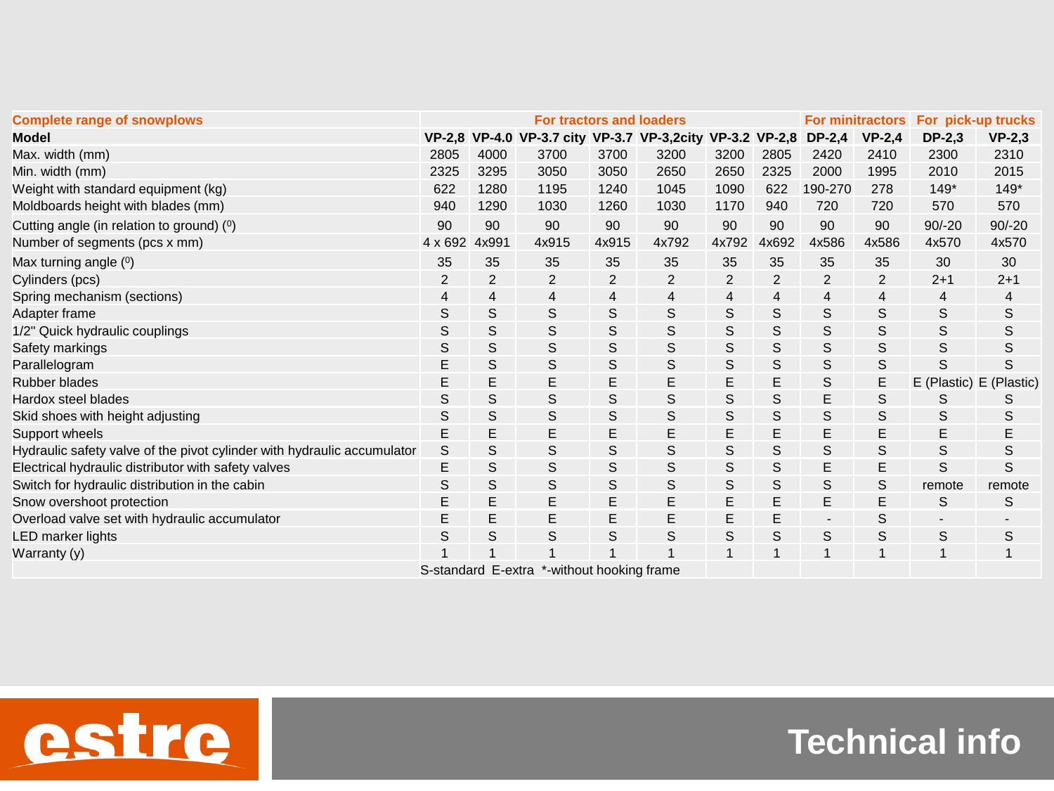| <b>Complete range of snowplows</b>                                      | <b>For tractors and loaders</b> |       |                                                           |                |             |                |       | <b>For minitractors</b>  |          | For pick-up trucks       |                         |
|-------------------------------------------------------------------------|---------------------------------|-------|-----------------------------------------------------------|----------------|-------------|----------------|-------|--------------------------|----------|--------------------------|-------------------------|
| <b>Model</b>                                                            |                                 |       | VP-2,8 VP-4.0 VP-3.7 city VP-3.7 VP-3,2city VP-3.2 VP-2,8 |                |             |                |       | $DP-2,4$                 | $VP-2.4$ | $DP-2,3$                 | $VP-2,3$                |
| Max. width (mm)                                                         | 2805                            | 4000  | 3700                                                      | 3700           | 3200        | 3200           | 2805  | 2420                     | 2410     | 2300                     | 2310                    |
| Min. width (mm)                                                         | 2325                            | 3295  | 3050                                                      | 3050           | 2650        | 2650           | 2325  | 2000                     | 1995     | 2010                     | 2015                    |
| Weight with standard equipment (kg)                                     | 622                             | 1280  | 1195                                                      | 1240           | 1045        | 1090           | 622   | 190-270                  | 278      | $149*$                   | $149*$                  |
| Moldboards height with blades (mm)                                      | 940                             | 1290  | 1030                                                      | 1260           | 1030        | 1170           | 940   | 720                      | 720      | 570                      | 570                     |
| Cutting angle (in relation to ground) (0)                               | 90                              | 90    | 90                                                        | 90             | 90          | 90             | 90    | 90                       | 90       | $90/-20$                 | $90/-20$                |
| Number of segments (pcs x mm)                                           | $4 \times 692$                  | 4x991 | 4x915                                                     | 4x915          | 4x792       | 4x792          | 4x692 | 4x586                    | 4x586    | 4x570                    | 4x570                   |
| Max turning angle (0)                                                   | 35                              | 35    | 35                                                        | 35             | 35          | 35             | 35    | 35                       | 35       | 30                       | 30                      |
| Cylinders (pcs)                                                         | 2                               | 2     | 2                                                         | $\overline{2}$ | 2           | $\overline{2}$ | 2     | 2                        | 2        | $2 + 1$                  | $2 + 1$                 |
| Spring mechanism (sections)                                             | 4                               | 4     | $\overline{4}$                                            | 4              | 4           | 4              | 4     | 4                        | 4        | 4                        | 4                       |
| Adapter frame                                                           | S                               | S     | S                                                         | S              | S           | S              | S     | S                        | S        | S                        | S                       |
| 1/2" Quick hydraulic couplings                                          | S                               | S     | S                                                         | S              | S           | S              | S     | S                        | S        | S                        | S                       |
| Safety markings                                                         | S                               | S     | S                                                         | S              | S           | S              | S     | S                        | S        | S                        | S                       |
| Parallelogram                                                           | E                               | S     | S                                                         | S              | S           | S              | S     | S                        | S        | S                        | S                       |
| <b>Rubber blades</b>                                                    | Ε                               | Ε     | Е                                                         | E              | E           | Ε              | E     | S                        | Е        |                          | E (Plastic) E (Plastic) |
| Hardox steel blades                                                     | S                               | S     | S                                                         | S              | S           | S              | S     | Е                        | S        | S                        | S                       |
| Skid shoes with height adjusting                                        | S                               | S     | S                                                         | S              | S           | S              | S     | S                        | S        | S                        | S                       |
| Support wheels                                                          | Ε                               | E     | E                                                         | E              | E           | Ε              | E     | Е                        | Е        | E                        | Ε                       |
| Hydraulic safety valve of the pivot cylinder with hydraulic accumulator | S                               | S     | S                                                         | S              | S           | S              | S     | S                        | S        | S                        | S                       |
| Electrical hydraulic distributor with safety valves                     | Ε                               | S     | S                                                         | S              | S           | S              | S     | Е                        | E        | S                        | S                       |
| Switch for hydraulic distribution in the cabin                          | S                               | S     | S                                                         | S              | $\mathbb S$ | S              | S     | S                        | S        | remote                   | remote                  |
| Snow overshoot protection                                               | E                               | E     | E                                                         | E              | E           | E              | E     | E                        | E        | S                        | S                       |
| Overload valve set with hydraulic accumulator                           | E                               | E     | E                                                         | E              | E           | Е              | E     | $\overline{\phantom{a}}$ | S        | $\overline{\phantom{a}}$ |                         |
| LED marker lights                                                       | S                               | S     | S                                                         | S              | S           | S              | S     | S                        | S        | S                        | S                       |
| Warranty (y)                                                            |                                 |       |                                                           |                |             |                |       |                          |          |                          |                         |
| S-standard E-extra *-without hooking frame                              |                                 |       |                                                           |                |             |                |       |                          |          |                          |                         |



## **Technical info**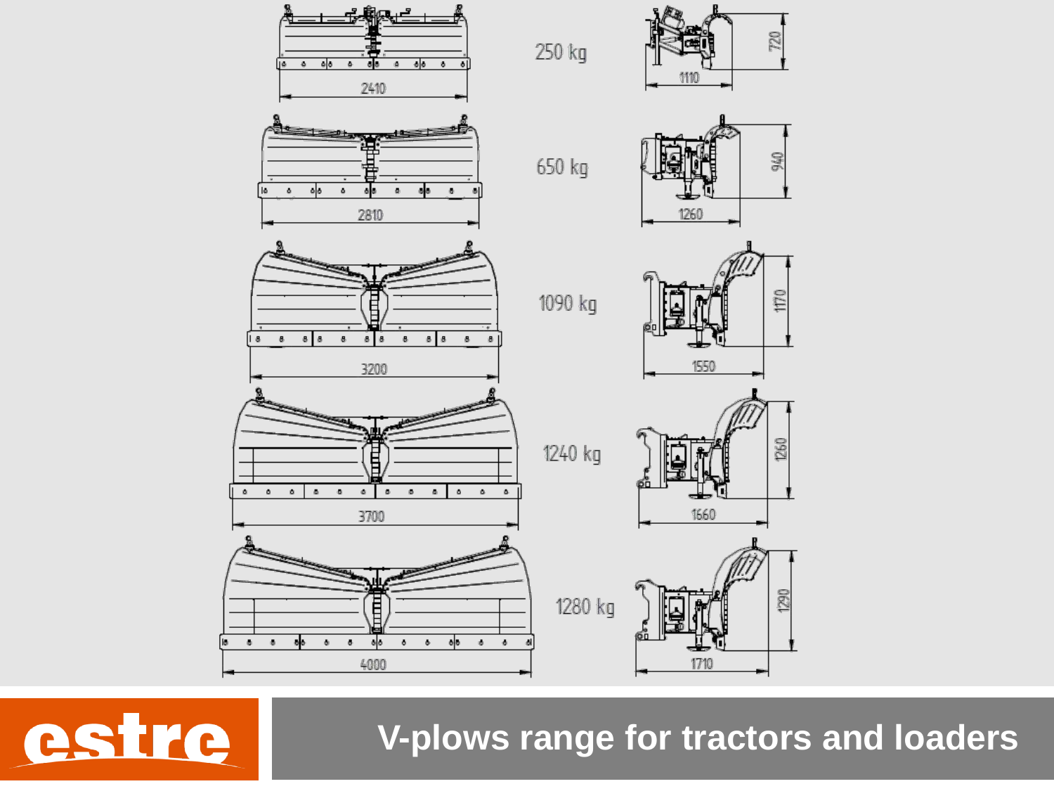

**V-plows range for tractors and loaders**